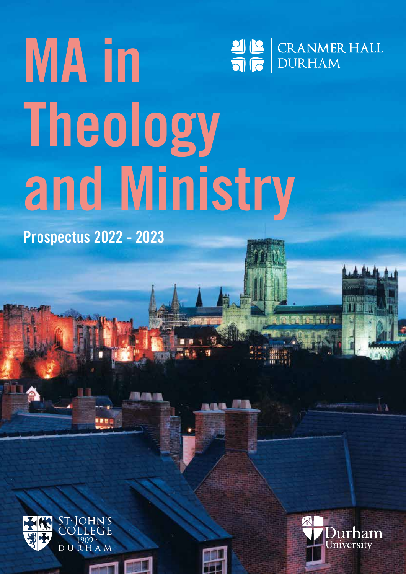## **MA in**  OC CRANMER HALL **Theology and Ministry**

**Prospectus 2022 - 2023**



 $\blacksquare$ 





źэ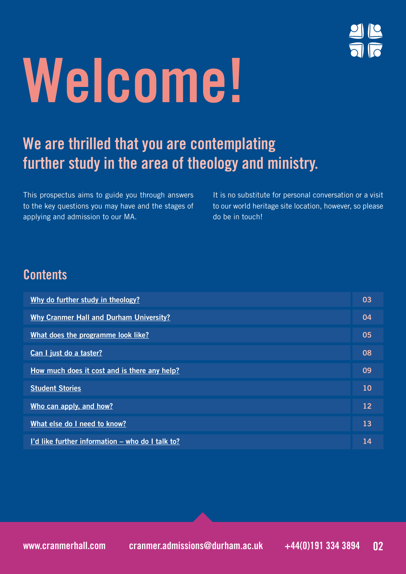

# **Welcome!**

## **We are thrilled that you are contemplating further study in the area of theology and ministry.**

This prospectus aims to guide you through answers to the key questions you may have and the stages of applying and admission to our MA.

It is no substitute for personal conversation or a visit to our world heritage site location, however, so please do be in touch!

## **Contents**

| Why do further study in theology?                | 03 |
|--------------------------------------------------|----|
| <b>Why Cranmer Hall and Durham University?</b>   | 04 |
| What does the programme look like?               | 05 |
| Can I just do a taster?                          | 08 |
| How much does it cost and is there any help?     | 09 |
| <b>Student Stories</b>                           | 10 |
| Who can apply, and how?                          | 12 |
| What else do I need to know?                     | 13 |
| I'd like further information – who do I talk to? | 14 |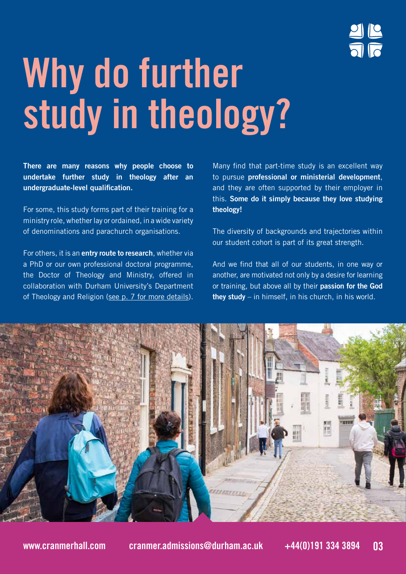## **Why do further study in theology?**

**There are many reasons why people choose to undertake further study in theology after an undergraduate-level qualification.** 

For some, this study forms part of their training for a ministry role, whether lay or ordained, in a wide variety of denominations and parachurch organisations.

For others, it is an **entry route to research**, whether via a PhD or our own professional doctoral programme, the Doctor of Theology and Ministry, offered in collaboration with Durham University's Department of Theology and Religion (see p. 7 for more details).

Many find that part-time study is an excellent way to pursue **professional or ministerial development**, and they are often supported by their employer in this. **Some do it simply because they love studying theology!**

The diversity of backgrounds and trajectories within our student cohort is part of its great strength.

And we find that all of our students, in one way or another, are motivated not only by a desire for learning or training, but above all by their **passion for the God they study** – in himself, in his church, in his world.

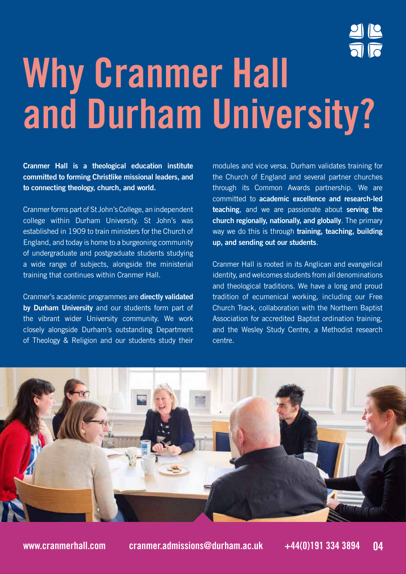

## **Why Cranmer Hall and Durham University?**

**Cranmer Hall is a theological education institute committed to forming Christlike missional leaders, and to connecting theology, church, and world.** 

Cranmer forms part of St John's College, an independent college within Durham University. St John's was established in 1909 to train ministers for the Church of England, and today is home to a burgeoning community of undergraduate and postgraduate students studying a wide range of subjects, alongside the ministerial training that continues within Cranmer Hall.

Cranmer's academic programmes are **directly validated by Durham University** and our students form part of the vibrant wider University community. We work closely alongside Durham's outstanding Department of Theology & Religion and our students study their

modules and vice versa. Durham validates training for the Church of England and several partner churches through its Common Awards partnership. We are committed to **academic excellence and research-led teaching**, and we are passionate about **serving the church regionally, nationally, and globally**. The primary way we do this is through **training, teaching, building up, and sending out our students**.

Cranmer Hall is rooted in its Anglican and evangelical identity, and welcomes students from all denominations and theological traditions. We have a long and proud tradition of ecumenical working, including our Free Church Track, collaboration with the Northern Baptist Association for accredited Baptist ordination training, and the Wesley Study Centre, a Methodist research centre.

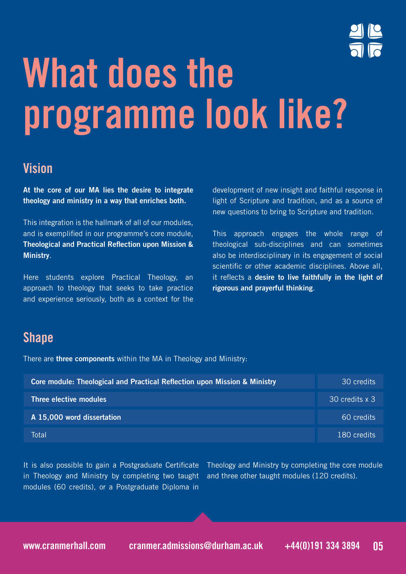

## **What does the programme look like?**

## **Vision**

**At the core of our MA lies the desire to integrate theology and ministry in a way that enriches both.** 

This integration is the hallmark of all of our modules, and is exemplified in our programme's core module, **Theological and Practical Reflection upon Mission & Ministry**.

Here students explore Practical Theology, an approach to theology that seeks to take practice and experience seriously, both as a context for the development of new insight and faithful response in light of Scripture and tradition, and as a source of new questions to bring to Scripture and tradition.

This approach engages the whole range of theological sub-disciplines and can sometimes also be interdisciplinary in its engagement of social scientific or other academic disciplines. Above all, it reflects a **desire to live faithfully in the light of rigorous and prayerful thinking**.

## **Shape**

There are **three components** within the MA in Theology and Ministry:

| Core module: Theological and Practical Reflection upon Mission & Ministry | 30 credits     |
|---------------------------------------------------------------------------|----------------|
| Three elective modules                                                    | 30 credits x 3 |
| A 15,000 word dissertation                                                | 60 credits     |
| Total                                                                     | 180 credits    |

It is also possible to gain a Postgraduate Certificate in Theology and Ministry by completing two taught modules (60 credits), or a Postgraduate Diploma in

Theology and Ministry by completing the core module and three other taught modules (120 credits).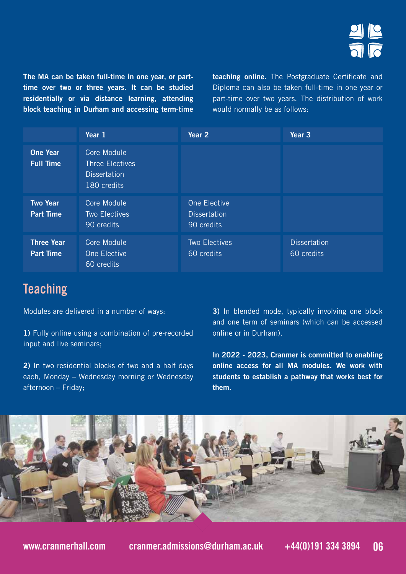**The MA can be taken full-time in one year, or parttime over two or three years. It can be studied residentially or via distance learning, attending block teaching in Durham and accessing term-time**  **teaching online.** The Postgraduate Certificate and Diploma can also be taken full-time in one year or part-time over two years. The distribution of work would normally be as follows:

|                                       | Year 1                                                                      | Year 2                                            | Year <sub>3</sub>                 |
|---------------------------------------|-----------------------------------------------------------------------------|---------------------------------------------------|-----------------------------------|
| <b>One Year</b><br><b>Full Time</b>   | Core Module<br><b>Three Electives</b><br><b>Dissertation</b><br>180 credits |                                                   |                                   |
| <b>Two Year</b><br><b>Part Time</b>   | Core Module<br><b>Two Electives</b><br>90 credits                           | One Elective<br><b>Dissertation</b><br>90 credits |                                   |
| <b>Three Year</b><br><b>Part Time</b> | Core Module<br>One Elective<br>60 credits                                   | <b>Two Electives</b><br>60 credits                | <b>Dissertation</b><br>60 credits |

## **Teaching**

Modules are delivered in a number of ways:

**1)** Fully online using a combination of pre-recorded input and live seminars;

**2)** In two residential blocks of two and a half days each, Monday – Wednesday morning or Wednesday afternoon – Friday;

**3)** In blended mode, typically involving one block and one term of seminars (which can be accessed online or in Durham).

**In 2022 - 2023, Cranmer is committed to enabling online access for all MA modules. We work with students to establish a pathway that works best for them.**

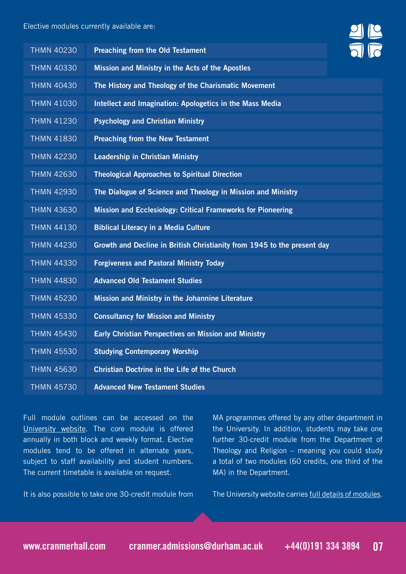### Elective modules currently available are:

| <b>THMN 40230</b> | <b>Preaching from the Old Testament</b>                                 |  |
|-------------------|-------------------------------------------------------------------------|--|
| <b>THMN 40330</b> | Mission and Ministry in the Acts of the Apostles                        |  |
| <b>THMN 40430</b> | The History and Theology of the Charismatic Movement                    |  |
| <b>THMN 41030</b> | Intellect and Imagination: Apologetics in the Mass Media                |  |
| <b>THMN 41230</b> | <b>Psychology and Christian Ministry</b>                                |  |
| <b>THMN 41830</b> | <b>Preaching from the New Testament</b>                                 |  |
| <b>THMN 42230</b> | <b>Leadership in Christian Ministry</b>                                 |  |
| <b>THMN 42630</b> | <b>Theological Approaches to Spiritual Direction</b>                    |  |
| <b>THMN 42930</b> | The Dialogue of Science and Theology in Mission and Ministry            |  |
| <b>THMN 43630</b> | Mission and Ecclesiology: Critical Frameworks for Pioneering            |  |
| <b>THMN 44130</b> | <b>Biblical Literacy in a Media Culture</b>                             |  |
| <b>THMN 44230</b> | Growth and Decline in British Christianity from 1945 to the present day |  |
| <b>THMN 44330</b> | <b>Forgiveness and Pastoral Ministry Today</b>                          |  |
| <b>THMN 44830</b> | <b>Advanced Old Testament Studies</b>                                   |  |
| <b>THMN 45230</b> | Mission and Ministry in the Johannine Literature                        |  |
| <b>THMN 45330</b> | <b>Consultancy for Mission and Ministry</b>                             |  |
| <b>THMN 45430</b> | <b>Early Christian Perspectives on Mission and Ministry</b>             |  |
| <b>THMN 45530</b> | <b>Studying Contemporary Worship</b>                                    |  |
| <b>THMN 45630</b> | <b>Christian Doctrine in the Life of the Church</b>                     |  |
| <b>THMN 45730</b> | <b>Advanced New Testament Studies</b>                                   |  |

Full module outlines can be accessed on the University website. The core module is offered annually in both block and weekly format. Elective modules tend to be offered in alternate years, subject to staff availability and student numbers. The current timetable is available on request.

It is also possible to take one 30-credit module from

MA programmes offered by any other department in the University. In addition, students may take one further 30-credit module from the Department of Theology and Religion – meaning you could study a total of two modules (60 credits, one third of the MA) in the Department.

The University website carries full details of modules.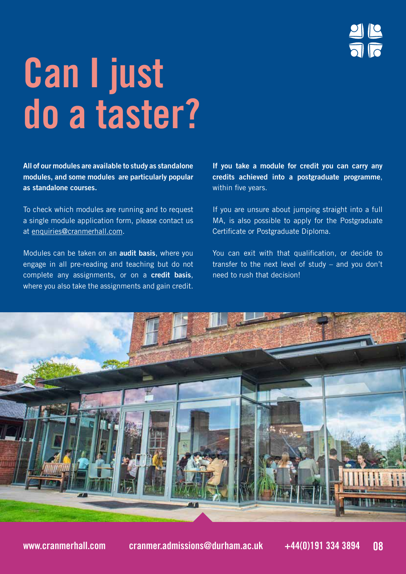## **Can I just do a taster?**

**All of our modules are available to study as standalone modules, and some modules are particularly popular as standalone courses.** 

To check which modules are running and to request a single module application form, please contact us at enquiries@cranmerhall.com.

Modules can be taken on an **audit basis**, where you engage in all pre-reading and teaching but do not complete any assignments, or on a **credit basis**, where you also take the assignments and gain credit.

**If you take a module for credit you can carry any credits achieved into a postgraduate programme**, within five years.

If you are unsure about jumping straight into a full MA, is also possible to apply for the Postgraduate Certificate or Postgraduate Diploma.

You can exit with that qualification, or decide to transfer to the next level of study – and you don't need to rush that decision!

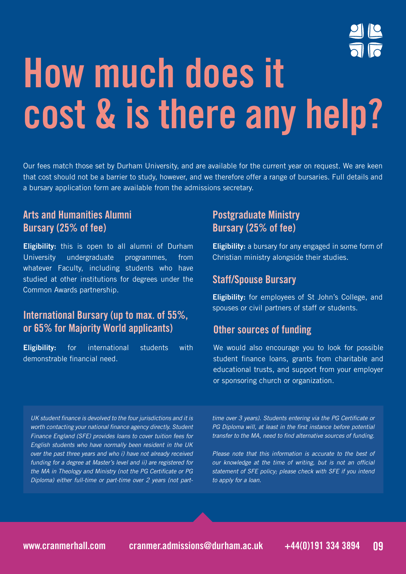

## **How much does it cost & is there any help?**

Our fees match those set by Durham University, and are available for the current year on request. We are keen that cost should not be a barrier to study, however, and we therefore offer a range of bursaries. Full details and a bursary application form are available from the admissions secretary.

### **Arts and Humanities Alumni Bursary (25% of fee)**

**Eligibility:** this is open to all alumni of Durham University undergraduate programmes, from whatever Faculty, including students who have studied at other institutions for degrees under the Common Awards partnership.

### **International Bursary (up to max. of 55%, or 65% for Majority World applicants) Other sources of funding**

**Eligibility:** for international students with demonstrable financial need.

### **Postgraduate Ministry Bursary (25% of fee)**

**Eligibility:** a bursary for any engaged in some form of Christian ministry alongside their studies.

### **Staff/Spouse Bursary**

**Eligibility:** for employees of St John's College, and spouses or civil partners of staff or students.

We would also encourage you to look for possible student finance loans, grants from charitable and educational trusts, and support from your employer or sponsoring church or organization.

UK student finance is devolved to the four jurisdictions and it is worth contacting your national finance agency directly. Student Finance England (SFE) provides loans to cover tuition fees for English students who have normally been resident in the UK over the past three years and who i) have not already received funding for a degree at Master's level and ii) are registered for the MA in Theology and Ministry (not the PG Certificate or PG Diploma) either full-time or part-time over 2 years (not parttime over 3 years). Students entering via the PG Certificate or PG Diploma will, at least in the first instance before potential transfer to the MA, need to find alternative sources of funding.

Please note that this information is accurate to the best of our knowledge at the time of writing, but is not an official statement of SFE policy; please check with SFE if you intend to apply for a loan.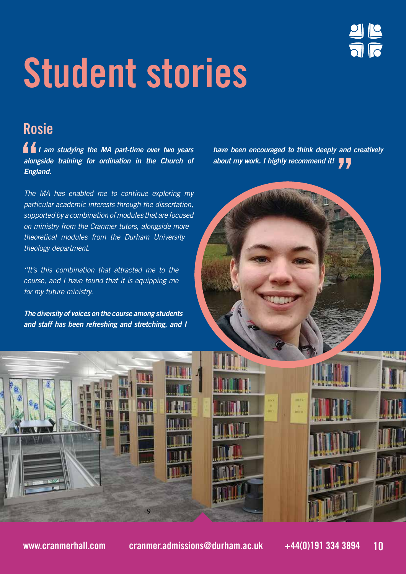## **Student stories**

## **Rosie**

 *I am studying the MA part-time over two years alongside training for ordination in the Church of England.*

The MA has enabled me to continue exploring my particular academic interests through the dissertation, supported by a combination of modules that are focused on ministry from the Cranmer tutors, alongside more theoretical modules from the Durham University theology department.

"It's this combination that attracted me to the course, and I have found that it is equipping me for my future ministry.

*The diversity of voices on the course among students and staff has been refreshing and stretching, and I*  *have been encouraged to think deeply and creatively about my work. I highly recommend it!*



9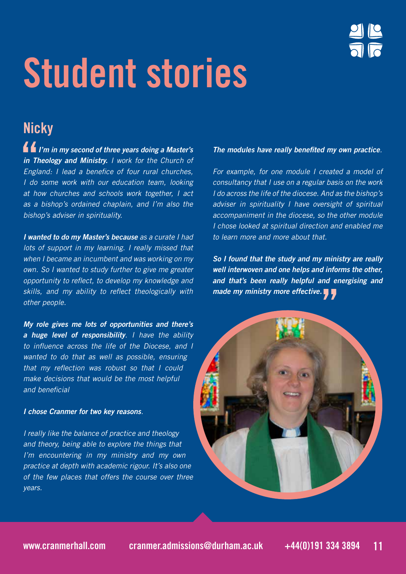

## **Student stories**

## **Nicky**

 *I'm in my second of three years doing a Master's in Theology and Ministry.* I work for the Church of England: I lead a benefice of four rural churches, I do some work with our education team, looking at how churches and schools work together, I act as a bishop's ordained chaplain, and I'm also the bishop's adviser in spirituality.

*I wanted to do my Master's because* as a curate I had lots of support in my learning. I really missed that when I became an incumbent and was working on my own. So I wanted to study further to give me greater opportunity to reflect, to develop my knowledge and skills, and my ability to reflect theologically with other people.

*My role gives me lots of opportunities and there's a huge level of responsibility*. I have the ability to influence across the life of the Diocese, and I wanted to do that as well as possible, ensuring that my reflection was robust so that I could make decisions that would be the most helpful and beneficial

### *I chose Cranmer for two key reasons*.

I really like the balance of practice and theology and theory, being able to explore the things that I'm encountering in my ministry and my own practice at depth with academic rigour. It's also one of the few places that offers the course over three years.

### **The modules have really benefited my own practice**.

For example, for one module I created a model of consultancy that I use on a regular basis on the work I do across the life of the diocese. And as the bishop's adviser in spirituality I have oversight of spiritual accompaniment in the diocese, so the other module I chose looked at spiritual direction and enabled me to learn more and more about that.

*So I found that the study and my ministry are really well interwoven and one helps and informs the other, and that's been really helpful and energising and made my ministry more effective.*

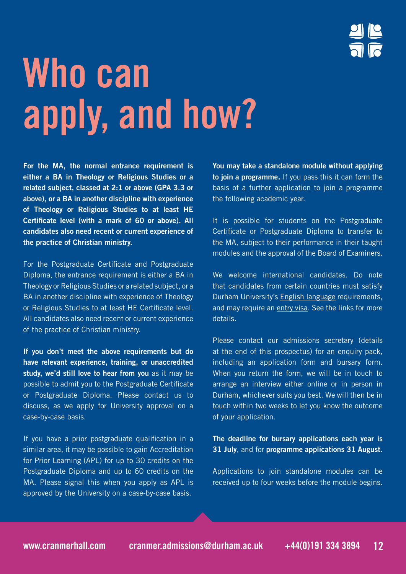## **Who can apply, and how?**

**For the MA, the normal entrance requirement is either a BA in Theology or Religious Studies or a related subject, classed at 2:1 or above (GPA 3.3 or above), or a BA in another discipline with experience of Theology or Religious Studies to at least HE Certificate level (with a mark of 60 or above). All candidates also need recent or current experience of the practice of Christian ministry.**

For the Postgraduate Certificate and Postgraduate Diploma, the entrance requirement is either a BA in Theology or Religious Studies or a related subject, or a BA in another discipline with experience of Theology or Religious Studies to at least HE Certificate level. All candidates also need recent or current experience of the practice of Christian ministry.

**If you don't meet the above requirements but do have relevant experience, training, or unaccredited study, we'd still love to hear from you** as it may be possible to admit you to the Postgraduate Certificate or Postgraduate Diploma. Please contact us to discuss, as we apply for University approval on a case-by-case basis.

If you have a prior postgraduate qualification in a similar area, it may be possible to gain Accreditation for Prior Learning (APL) for up to 30 credits on the Postgraduate Diploma and up to 60 credits on the MA. Please signal this when you apply as APL is approved by the University on a case-by-case basis.

**You may take a standalone module without applying to join a programme.** If you pass this it can form the basis of a further application to join a programme the following academic year.

It is possible for students on the Postgraduate Certificate or Postgraduate Diploma to transfer to the MA, subject to their performance in their taught modules and the approval of the Board of Examiners.

We welcome international candidates. Do note that candidates from certain countries must satisfy Durham University's English language requirements, and may require an entry visa. See the links for more details.

Please contact our admissions secretary (details at the end of this prospectus) for an enquiry pack, including an application form and bursary form. When you return the form, we will be in touch to arrange an interview either online or in person in Durham, whichever suits you best. We will then be in touch within two weeks to let you know the outcome of your application.

**The deadline for bursary applications each year is 31 July**, and for **programme applications 31 August**.

Applications to join standalone modules can be received up to four weeks before the module begins.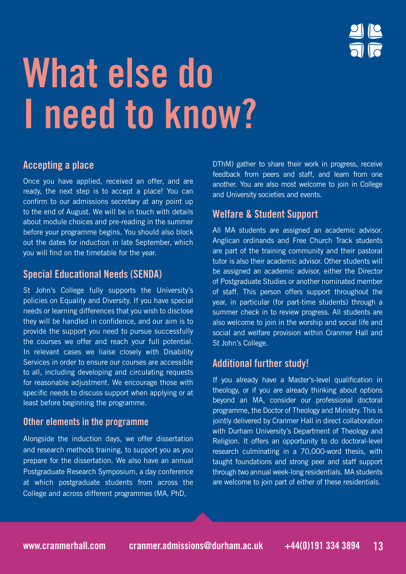## **What else do I need to know?**

## **Accepting a place**

Once you have applied, received an offer, and are ready, the next step is to accept a place! You can confirm to our admissions secretary at any point up to the end of August. We will be in touch with details about module choices and pre-reading in the summer before your programme begins. You should also block out the dates for induction in late September, which you will find on the timetable for the year.

### **Special Educational Needs (SENDA)**

St John's College fully supports the University's policies on Equality and Diversity. If you have special needs or learning differences that you wish to disclose they will be handled in confidence, and our aim is to provide the support you need to pursue successfully the courses we offer and reach your full potential. In relevant cases we liaise closely with Disability Services in order to ensure our courses are accessible to all, including developing and circulating requests for reasonable adjustment. We encourage those with specific needs to discuss support when applying or at least before beginning the programme.

### **Other elements in the programme**

Alongside the induction days, we offer dissertation and research methods training, to support you as you prepare for the dissertation. We also have an annual Postgraduate Research Symposium, a day conference at which postgraduate students from across the College and across different programmes (MA, PhD,

DThM) gather to share their work in progress, receive feedback from peers and staff, and learn from one another. You are also most welcome to join in College and University societies and events.

### **Welfare & Student Support**

All MA students are assigned an academic advisor. Anglican ordinands and Free Church Track students are part of the training community and their pastoral tutor is also their academic advisor. Other students will be assigned an academic advisor, either the Director of Postgraduate Studies or another nominated member of staff. This person offers support throughout the year, in particular (for part-time students) through a summer check in to review progress. All students are also welcome to join in the worship and social life and social and welfare provision within Cranmer Hall and St John's College.

### **Additional further study!**

If you already have a Master's-level qualification in theology, or if you are already thinking about options beyond an MA, consider our professional doctoral programme, the Doctor of Theology and Ministry. This is jointly delivered by Cranmer Hall in direct collaboration with Durham University's Department of Theology and Religion. It offers an opportunity to do doctoral-level research culminating in a 70,000-word thesis, with taught foundations and strong peer and staff support through two annual week-long residentials. MA students are welcome to join part of either of these residentials.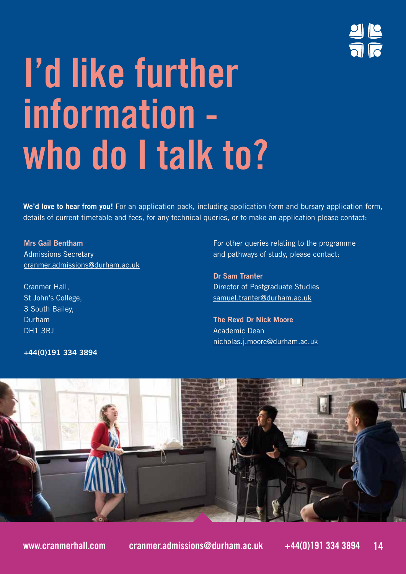

## **I'd like further information who do I talk to?**

**We'd love to hear from you!** For an application pack, including application form and bursary application form, details of current timetable and fees, for any technical queries, or to make an application please contact:

**Mrs Gail Bentham** Admissions Secretary cranmer.admissions@durham.ac.uk

Cranmer Hall, St John's College, 3 South Bailey, Durham DH1 3RJ

**+44(0)191 334 3894**

For other queries relating to the programme and pathways of study, please contact:

**Dr Sam Tranter** Director of Postgraduate Studies samuel.tranter@durham.ac.uk

**The Revd Dr Nick Moore**  Academic Dean nicholas.j.moore@durham.ac.uk

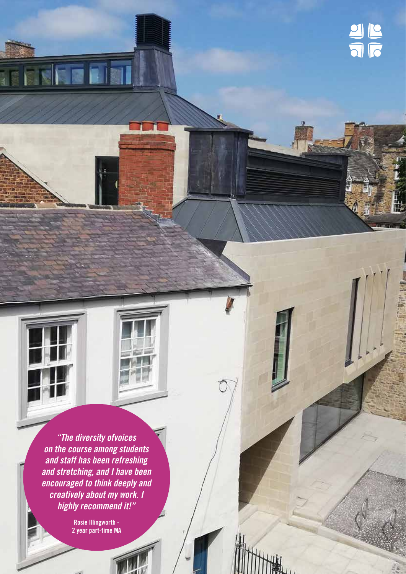*"The diversity ofvoices on the course among students and staff has been refreshing and stretching, and I have been encouraged to think deeply and creatively about my work. I highly recommend it!"*

**TERMINER** 

**Rosie Illingworth - 2 year part-time MA**